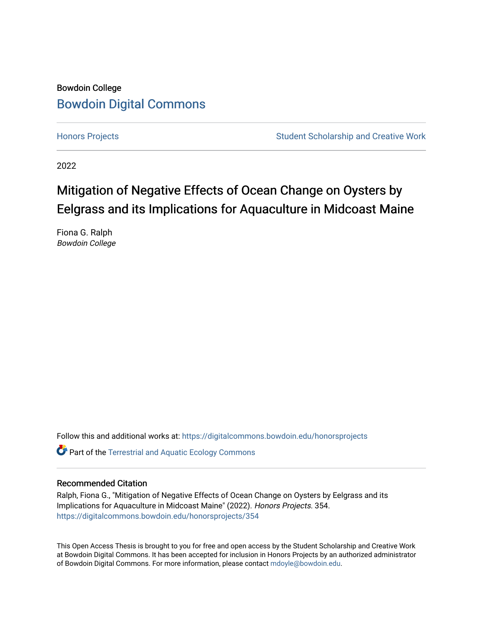# Bowdoin College [Bowdoin Digital Commons](https://digitalcommons.bowdoin.edu/)

[Honors Projects](https://digitalcommons.bowdoin.edu/honorsprojects) **Student Scholarship and Creative Work** Student Scholarship and Creative Work

2022

# Mitigation of Negative Effects of Ocean Change on Oysters by Eelgrass and its Implications for Aquaculture in Midcoast Maine

Fiona G. Ralph Bowdoin College

Follow this and additional works at: [https://digitalcommons.bowdoin.edu/honorsprojects](https://digitalcommons.bowdoin.edu/honorsprojects?utm_source=digitalcommons.bowdoin.edu%2Fhonorsprojects%2F354&utm_medium=PDF&utm_campaign=PDFCoverPages)

**C** Part of the Terrestrial and Aquatic Ecology Commons

#### Recommended Citation

Ralph, Fiona G., "Mitigation of Negative Effects of Ocean Change on Oysters by Eelgrass and its Implications for Aquaculture in Midcoast Maine" (2022). Honors Projects. 354. [https://digitalcommons.bowdoin.edu/honorsprojects/354](https://digitalcommons.bowdoin.edu/honorsprojects/354?utm_source=digitalcommons.bowdoin.edu%2Fhonorsprojects%2F354&utm_medium=PDF&utm_campaign=PDFCoverPages)

This Open Access Thesis is brought to you for free and open access by the Student Scholarship and Creative Work at Bowdoin Digital Commons. It has been accepted for inclusion in Honors Projects by an authorized administrator of Bowdoin Digital Commons. For more information, please contact [mdoyle@bowdoin.edu.](mailto:mdoyle@bowdoin.edu)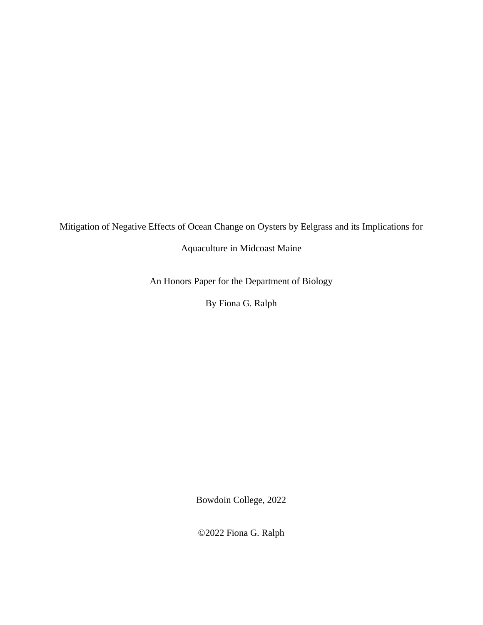Mitigation of Negative Effects of Ocean Change on Oysters by Eelgrass and its Implications for

Aquaculture in Midcoast Maine

An Honors Paper for the Department of Biology

By Fiona G. Ralph

Bowdoin College, 2022

©2022 Fiona G. Ralph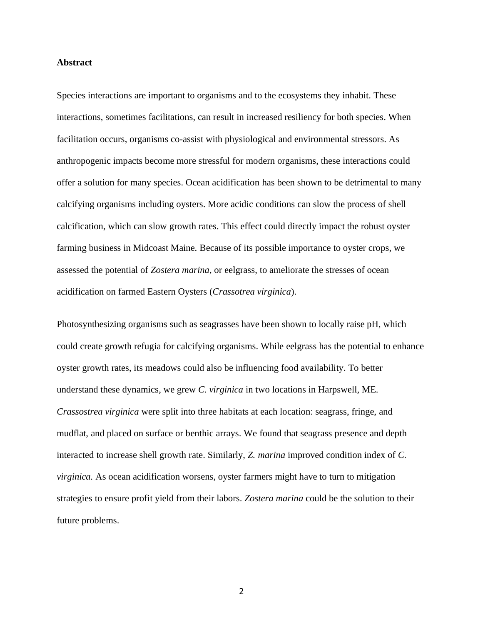#### **Abstract**

Species interactions are important to organisms and to the ecosystems they inhabit. These interactions, sometimes facilitations, can result in increased resiliency for both species. When facilitation occurs, organisms co-assist with physiological and environmental stressors. As anthropogenic impacts become more stressful for modern organisms, these interactions could offer a solution for many species. Ocean acidification has been shown to be detrimental to many calcifying organisms including oysters. More acidic conditions can slow the process of shell calcification, which can slow growth rates. This effect could directly impact the robust oyster farming business in Midcoast Maine. Because of its possible importance to oyster crops, we assessed the potential of *Zostera marina*, or eelgrass, to ameliorate the stresses of ocean acidification on farmed Eastern Oysters (*Crassotrea virginica*).

Photosynthesizing organisms such as seagrasses have been shown to locally raise pH, which could create growth refugia for calcifying organisms. While eelgrass has the potential to enhance oyster growth rates, its meadows could also be influencing food availability. To better understand these dynamics, we grew *C. virginica* in two locations in Harpswell, ME. *Crassostrea virginica* were split into three habitats at each location: seagrass, fringe, and mudflat, and placed on surface or benthic arrays. We found that seagrass presence and depth interacted to increase shell growth rate. Similarly, *Z. marina* improved condition index of *C. virginica.* As ocean acidification worsens, oyster farmers might have to turn to mitigation strategies to ensure profit yield from their labors. *Zostera marina* could be the solution to their future problems.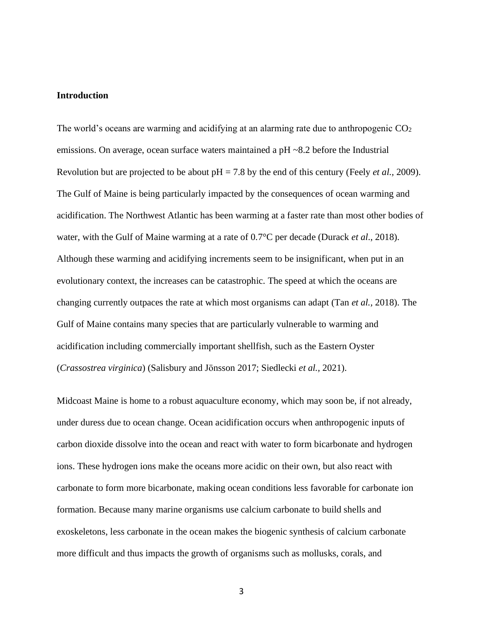#### **Introduction**

The world's oceans are warming and acidifying at an alarming rate due to anthropogenic  $CO<sub>2</sub>$ emissions. On average, ocean surface waters maintained a pH ~8.2 before the Industrial Revolution but are projected to be about pH = 7.8 by the end of this century (Feely *et al.,* 2009). The Gulf of Maine is being particularly impacted by the consequences of ocean warming and acidification. The Northwest Atlantic has been warming at a faster rate than most other bodies of water, with the Gulf of Maine warming at a rate of 0.7°C per decade (Durack *et al*., 2018). Although these warming and acidifying increments seem to be insignificant, when put in an evolutionary context, the increases can be catastrophic. The speed at which the oceans are changing currently outpaces the rate at which most organisms can adapt (Tan *et al.,* 2018). The Gulf of Maine contains many species that are particularly vulnerable to warming and acidification including commercially important shellfish, such as the Eastern Oyster (*Crassostrea virginica*) (Salisbury and Jönsson 2017; Siedlecki *et al.,* 2021).

Midcoast Maine is home to a robust aquaculture economy, which may soon be, if not already, under duress due to ocean change. Ocean acidification occurs when anthropogenic inputs of carbon dioxide dissolve into the ocean and react with water to form bicarbonate and hydrogen ions. These hydrogen ions make the oceans more acidic on their own, but also react with carbonate to form more bicarbonate, making ocean conditions less favorable for carbonate ion formation. Because many marine organisms use calcium carbonate to build shells and exoskeletons, less carbonate in the ocean makes the biogenic synthesis of calcium carbonate more difficult and thus impacts the growth of organisms such as mollusks, corals, and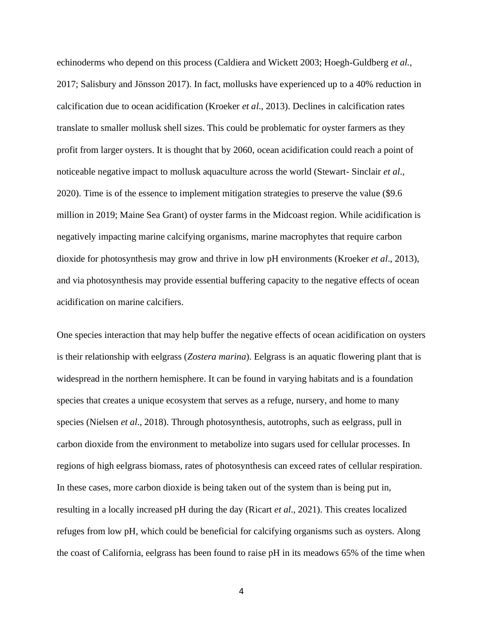echinoderms who depend on this process (Caldiera and Wickett 2003; Hoegh-Guldberg *et al.,* 2017; Salisbury and Jönsson 2017). In fact, mollusks have experienced up to a 40% reduction in calcification due to ocean acidification (Kroeker *et al*., 2013). Declines in calcification rates translate to smaller mollusk shell sizes. This could be problematic for oyster farmers as they profit from larger oysters. It is thought that by 2060, ocean acidification could reach a point of noticeable negative impact to mollusk aquaculture across the world (Stewart- Sinclair *et al*., 2020). Time is of the essence to implement mitigation strategies to preserve the value (\$9.6 million in 2019; Maine Sea Grant) of oyster farms in the Midcoast region. While acidification is negatively impacting marine calcifying organisms, marine macrophytes that require carbon dioxide for photosynthesis may grow and thrive in low pH environments (Kroeker *et al*., 2013), and via photosynthesis may provide essential buffering capacity to the negative effects of ocean acidification on marine calcifiers.

One species interaction that may help buffer the negative effects of ocean acidification on oysters is their relationship with eelgrass (*Zostera marina*). Eelgrass is an aquatic flowering plant that is widespread in the northern hemisphere. It can be found in varying habitats and is a foundation species that creates a unique ecosystem that serves as a refuge, nursery, and home to many species (Nielsen *et al*., 2018). Through photosynthesis, autotrophs, such as eelgrass, pull in carbon dioxide from the environment to metabolize into sugars used for cellular processes. In regions of high eelgrass biomass, rates of photosynthesis can exceed rates of cellular respiration. In these cases, more carbon dioxide is being taken out of the system than is being put in, resulting in a locally increased pH during the day (Ricart *et al*., 2021). This creates localized refuges from low pH, which could be beneficial for calcifying organisms such as oysters. Along the coast of California, eelgrass has been found to raise pH in its meadows 65% of the time when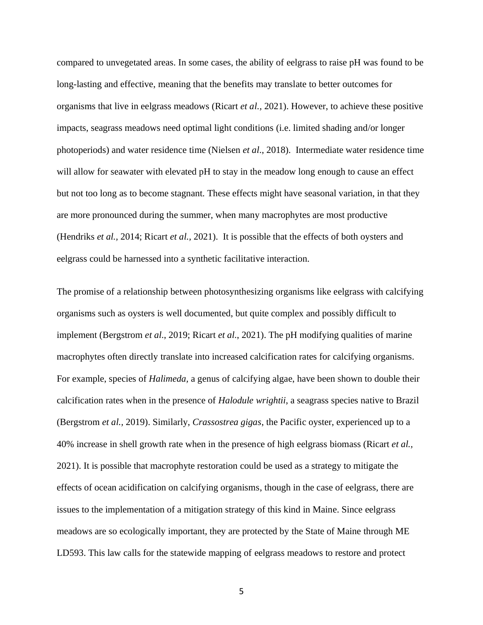compared to unvegetated areas. In some cases, the ability of eelgrass to raise pH was found to be long-lasting and effective, meaning that the benefits may translate to better outcomes for organisms that live in eelgrass meadows (Ricart *et al.,* 2021). However, to achieve these positive impacts, seagrass meadows need optimal light conditions (i.e. limited shading and/or longer photoperiods) and water residence time (Nielsen *et al*., 2018). Intermediate water residence time will allow for seawater with elevated pH to stay in the meadow long enough to cause an effect but not too long as to become stagnant. These effects might have seasonal variation, in that they are more pronounced during the summer, when many macrophytes are most productive (Hendriks *et al.,* 2014; Ricart *et al.,* 2021). It is possible that the effects of both oysters and eelgrass could be harnessed into a synthetic facilitative interaction.

The promise of a relationship between photosynthesizing organisms like eelgrass with calcifying organisms such as oysters is well documented, but quite complex and possibly difficult to implement (Bergstrom *et al*., 2019; Ricart *et al*., 2021). The pH modifying qualities of marine macrophytes often directly translate into increased calcification rates for calcifying organisms. For example, species of *Halimeda,* a genus of calcifying algae, have been shown to double their calcification rates when in the presence of *Halodule wrightii*, a seagrass species native to Brazil (Bergstrom *et al.,* 2019). Similarly, *Crassostrea gigas*, the Pacific oyster, experienced up to a 40% increase in shell growth rate when in the presence of high eelgrass biomass (Ricart *et al.,*  2021). It is possible that macrophyte restoration could be used as a strategy to mitigate the effects of ocean acidification on calcifying organisms, though in the case of eelgrass, there are issues to the implementation of a mitigation strategy of this kind in Maine. Since eelgrass meadows are so ecologically important, they are protected by the State of Maine through ME LD593. This law calls for the statewide mapping of eelgrass meadows to restore and protect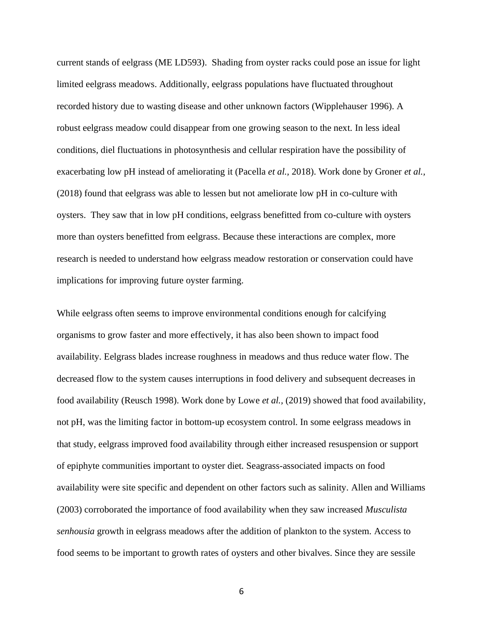current stands of eelgrass (ME LD593). Shading from oyster racks could pose an issue for light limited eelgrass meadows. Additionally, eelgrass populations have fluctuated throughout recorded history due to wasting disease and other unknown factors (Wipplehauser 1996). A robust eelgrass meadow could disappear from one growing season to the next. In less ideal conditions, diel fluctuations in photosynthesis and cellular respiration have the possibility of exacerbating low pH instead of ameliorating it (Pacella *et al.,* 2018). Work done by Groner *et al.,*  (2018) found that eelgrass was able to lessen but not ameliorate low pH in co-culture with oysters. They saw that in low pH conditions, eelgrass benefitted from co-culture with oysters more than oysters benefitted from eelgrass. Because these interactions are complex, more research is needed to understand how eelgrass meadow restoration or conservation could have implications for improving future oyster farming.

While eelgrass often seems to improve environmental conditions enough for calcifying organisms to grow faster and more effectively, it has also been shown to impact food availability. Eelgrass blades increase roughness in meadows and thus reduce water flow. The decreased flow to the system causes interruptions in food delivery and subsequent decreases in food availability (Reusch 1998). Work done by Lowe *et al.,* (2019) showed that food availability, not pH, was the limiting factor in bottom-up ecosystem control. In some eelgrass meadows in that study, eelgrass improved food availability through either increased resuspension or support of epiphyte communities important to oyster diet. Seagrass-associated impacts on food availability were site specific and dependent on other factors such as salinity. Allen and Williams (2003) corroborated the importance of food availability when they saw increased *Musculista senhousia* growth in eelgrass meadows after the addition of plankton to the system. Access to food seems to be important to growth rates of oysters and other bivalves. Since they are sessile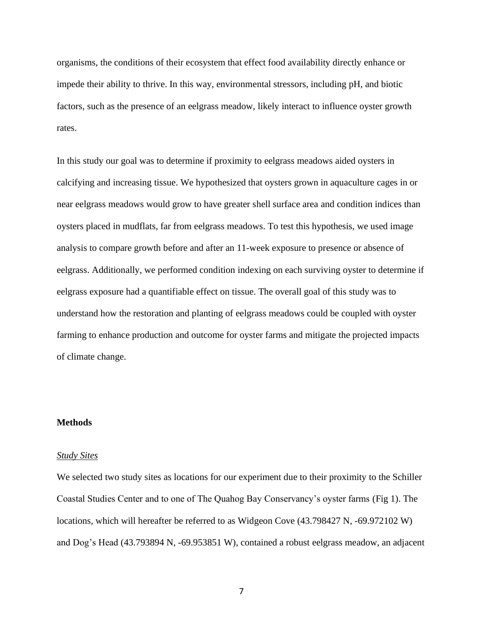organisms, the conditions of their ecosystem that effect food availability directly enhance or impede their ability to thrive. In this way, environmental stressors, including pH, and biotic factors, such as the presence of an eelgrass meadow, likely interact to influence oyster growth rates.

In this study our goal was to determine if proximity to eelgrass meadows aided oysters in calcifying and increasing tissue. We hypothesized that oysters grown in aquaculture cages in or near eelgrass meadows would grow to have greater shell surface area and condition indices than oysters placed in mudflats, far from eelgrass meadows. To test this hypothesis, we used image analysis to compare growth before and after an 11-week exposure to presence or absence of eelgrass. Additionally, we performed condition indexing on each surviving oyster to determine if eelgrass exposure had a quantifiable effect on tissue. The overall goal of this study was to understand how the restoration and planting of eelgrass meadows could be coupled with oyster farming to enhance production and outcome for oyster farms and mitigate the projected impacts of climate change.

#### **Methods**

#### *Study Sites*

We selected two study sites as locations for our experiment due to their proximity to the Schiller Coastal Studies Center and to one of The Quahog Bay Conservancy's oyster farms (Fig 1). The locations, which will hereafter be referred to as Widgeon Cove (43.798427 N, -69.972102 W) and Dog's Head (43.793894 N, -69.953851 W), contained a robust eelgrass meadow, an adjacent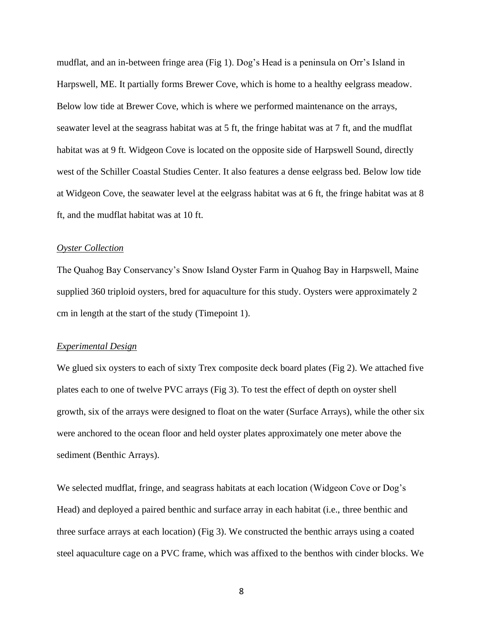mudflat, and an in-between fringe area (Fig 1). Dog's Head is a peninsula on Orr's Island in Harpswell, ME. It partially forms Brewer Cove, which is home to a healthy eelgrass meadow. Below low tide at Brewer Cove, which is where we performed maintenance on the arrays, seawater level at the seagrass habitat was at 5 ft, the fringe habitat was at 7 ft, and the mudflat habitat was at 9 ft. Widgeon Cove is located on the opposite side of Harpswell Sound, directly west of the Schiller Coastal Studies Center. It also features a dense eelgrass bed. Below low tide at Widgeon Cove, the seawater level at the eelgrass habitat was at 6 ft, the fringe habitat was at 8 ft, and the mudflat habitat was at 10 ft.

#### *Oyster Collection*

The Quahog Bay Conservancy's Snow Island Oyster Farm in Quahog Bay in Harpswell, Maine supplied 360 triploid oysters, bred for aquaculture for this study. Oysters were approximately 2 cm in length at the start of the study (Timepoint 1).

#### *Experimental Design*

We glued six oysters to each of sixty Trex composite deck board plates (Fig 2). We attached five plates each to one of twelve PVC arrays (Fig 3). To test the effect of depth on oyster shell growth, six of the arrays were designed to float on the water (Surface Arrays), while the other six were anchored to the ocean floor and held oyster plates approximately one meter above the sediment (Benthic Arrays).

We selected mudflat, fringe, and seagrass habitats at each location (Widgeon Cove or Dog's Head) and deployed a paired benthic and surface array in each habitat (i.e., three benthic and three surface arrays at each location) (Fig 3). We constructed the benthic arrays using a coated steel aquaculture cage on a PVC frame, which was affixed to the benthos with cinder blocks. We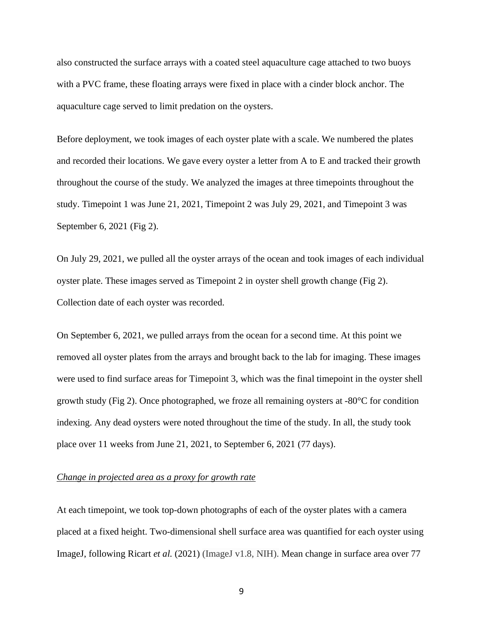also constructed the surface arrays with a coated steel aquaculture cage attached to two buoys with a PVC frame, these floating arrays were fixed in place with a cinder block anchor. The aquaculture cage served to limit predation on the oysters.

Before deployment, we took images of each oyster plate with a scale. We numbered the plates and recorded their locations. We gave every oyster a letter from A to E and tracked their growth throughout the course of the study. We analyzed the images at three timepoints throughout the study. Timepoint 1 was June 21, 2021, Timepoint 2 was July 29, 2021, and Timepoint 3 was September 6, 2021 (Fig 2).

On July 29, 2021, we pulled all the oyster arrays of the ocean and took images of each individual oyster plate. These images served as Timepoint 2 in oyster shell growth change (Fig 2). Collection date of each oyster was recorded.

On September 6, 2021, we pulled arrays from the ocean for a second time. At this point we removed all oyster plates from the arrays and brought back to the lab for imaging. These images were used to find surface areas for Timepoint 3, which was the final timepoint in the oyster shell growth study (Fig 2). Once photographed, we froze all remaining oysters at -80°C for condition indexing. Any dead oysters were noted throughout the time of the study. In all, the study took place over 11 weeks from June 21, 2021, to September 6, 2021 (77 days).

#### *Change in projected area as a proxy for growth rate*

At each timepoint, we took top-down photographs of each of the oyster plates with a camera placed at a fixed height. Two-dimensional shell surface area was quantified for each oyster using ImageJ, following Ricart *et al.* (2021) (ImageJ v1.8, NIH). Mean change in surface area over 77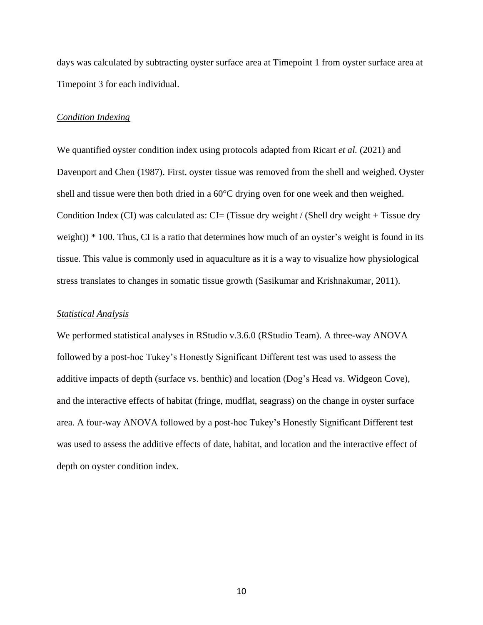days was calculated by subtracting oyster surface area at Timepoint 1 from oyster surface area at Timepoint 3 for each individual.

#### *Condition Indexing*

We quantified oyster condition index using protocols adapted from Ricart *et al.* (2021) and Davenport and Chen (1987). First, oyster tissue was removed from the shell and weighed. Oyster shell and tissue were then both dried in a 60°C drying oven for one week and then weighed. Condition Index (CI) was calculated as:  $CI = (Tissue dry weight / (Shell dry weight + Tissue dry)$ weight)) \* 100. Thus, CI is a ratio that determines how much of an oyster's weight is found in its tissue. This value is commonly used in aquaculture as it is a way to visualize how physiological stress translates to changes in somatic tissue growth (Sasikumar and Krishnakumar, 2011).

#### *Statistical Analysis*

We performed statistical analyses in RStudio v.3.6.0 (RStudio Team). A three-way ANOVA followed by a post-hoc Tukey's Honestly Significant Different test was used to assess the additive impacts of depth (surface vs. benthic) and location (Dog's Head vs. Widgeon Cove), and the interactive effects of habitat (fringe, mudflat, seagrass) on the change in oyster surface area. A four-way ANOVA followed by a post-hoc Tukey's Honestly Significant Different test was used to assess the additive effects of date, habitat, and location and the interactive effect of depth on oyster condition index.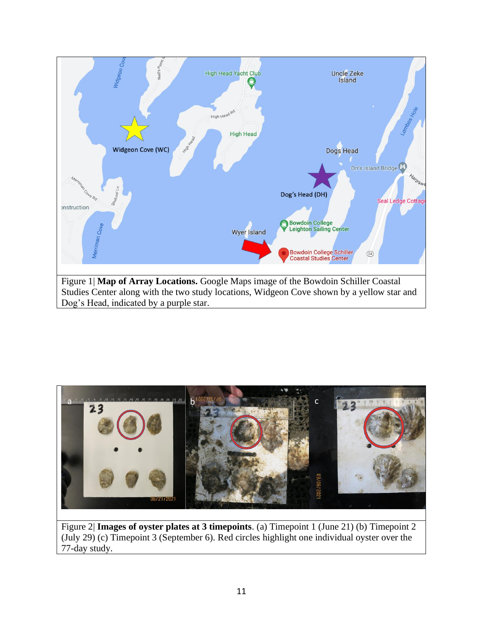



Figure 2| **Images of oyster plates at 3 timepoints**. (a) Timepoint 1 (June 21) (b) Timepoint 2 (July 29) (c) Timepoint 3 (September 6). Red circles highlight one individual oyster over the 77-day study.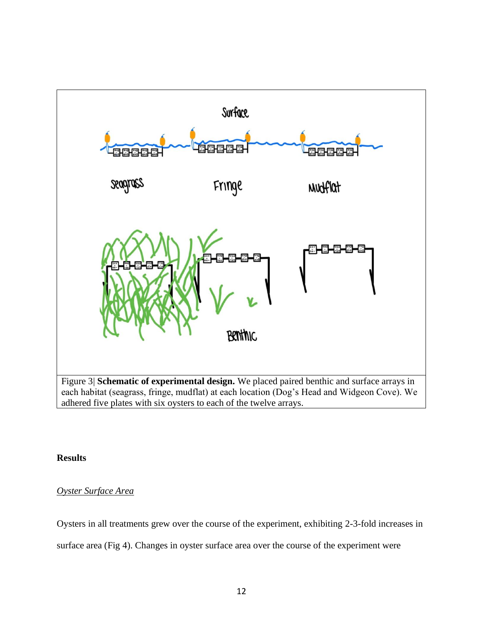

### **Results**

## *Oyster Surface Area*

Oysters in all treatments grew over the course of the experiment, exhibiting 2-3-fold increases in

surface area (Fig 4). Changes in oyster surface area over the course of the experiment were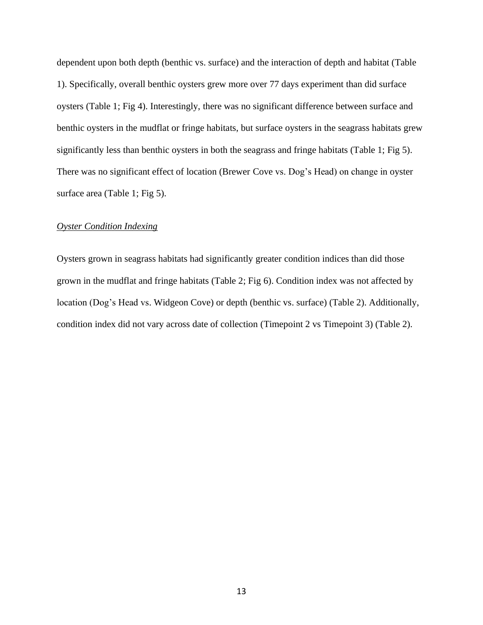dependent upon both depth (benthic vs. surface) and the interaction of depth and habitat (Table 1). Specifically, overall benthic oysters grew more over 77 days experiment than did surface oysters (Table 1; Fig 4). Interestingly, there was no significant difference between surface and benthic oysters in the mudflat or fringe habitats, but surface oysters in the seagrass habitats grew significantly less than benthic oysters in both the seagrass and fringe habitats (Table 1; Fig 5). There was no significant effect of location (Brewer Cove vs. Dog's Head) on change in oyster surface area (Table 1; Fig 5).

#### *Oyster Condition Indexing*

Oysters grown in seagrass habitats had significantly greater condition indices than did those grown in the mudflat and fringe habitats (Table 2; Fig 6). Condition index was not affected by location (Dog's Head vs. Widgeon Cove) or depth (benthic vs. surface) (Table 2). Additionally, condition index did not vary across date of collection (Timepoint 2 vs Timepoint 3) (Table 2).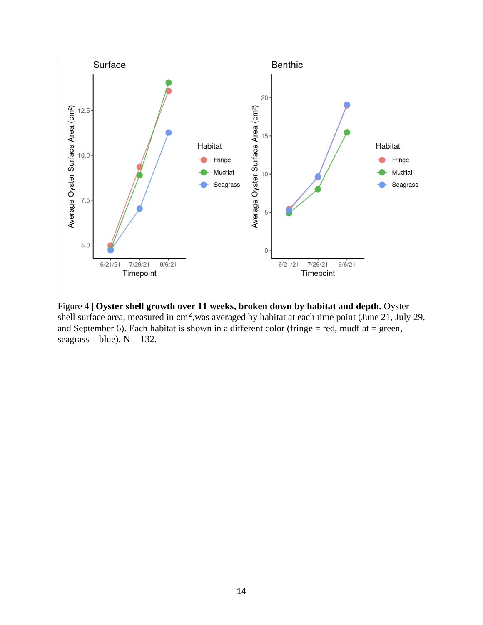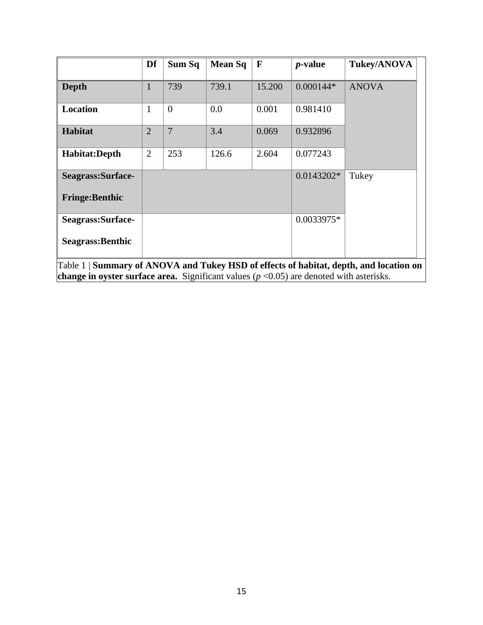|                                                                                                     | Df             | Sum Sq   | <b>Mean Sq</b> | $\mathbf{F}$ | <i>p</i> -value | <b>Tukey/ANOVA</b> |  |
|-----------------------------------------------------------------------------------------------------|----------------|----------|----------------|--------------|-----------------|--------------------|--|
| <b>Depth</b>                                                                                        | 1              | 739      | 739.1          | 15.200       | $0.000144*$     | <b>ANOVA</b>       |  |
| Location                                                                                            | 1              | $\theta$ | 0.0            | 0.001        | 0.981410        |                    |  |
| <b>Habitat</b>                                                                                      | $\overline{2}$ | 7        | 3.4            | 0.069        | 0.932896        |                    |  |
| Habitat:Depth                                                                                       | $\overline{2}$ | 253      | 126.6          | 2.604        | 0.077243        |                    |  |
| Seagrass:Surface-                                                                                   |                |          |                |              | $0.0143202*$    | Tukey              |  |
| <b>Fringe:Benthic</b>                                                                               |                |          |                |              |                 |                    |  |
| Seagrass:Surface-                                                                                   |                |          |                | 0.0033975*   |                 |                    |  |
| Seagrass: Benthic                                                                                   |                |          |                |              |                 |                    |  |
| Table 1 Summary of ANOVA and Tukey HSD of effects of habitat, depth, and location on                |                |          |                |              |                 |                    |  |
| <b>change in oyster surface area.</b> Significant values ( $p < 0.05$ ) are denoted with asterisks. |                |          |                |              |                 |                    |  |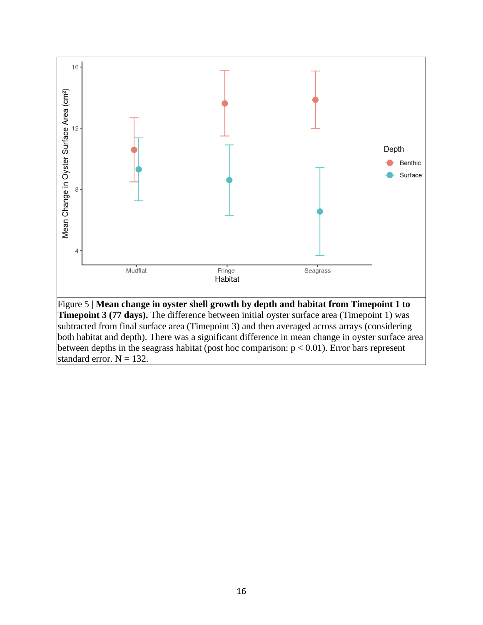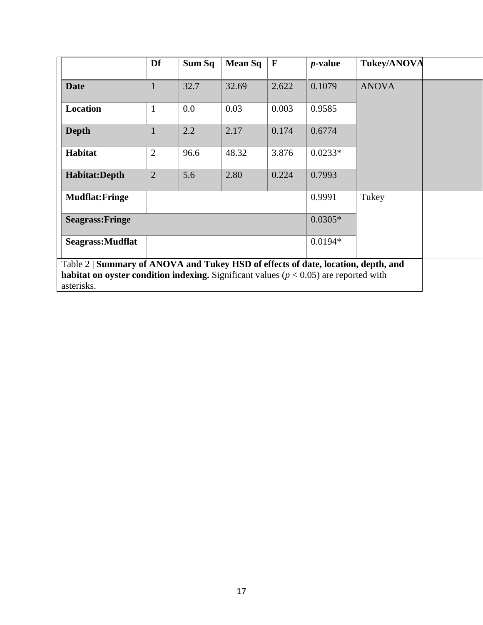|                                                                                                                                                                                                     | Df             | Sum Sq | <b>Mean Sq</b> | $\mathbf{F}$ | <i>p</i> -value | <b>Tukey/ANOVA</b> |  |  |
|-----------------------------------------------------------------------------------------------------------------------------------------------------------------------------------------------------|----------------|--------|----------------|--------------|-----------------|--------------------|--|--|
| <b>Date</b>                                                                                                                                                                                         | $\mathbf{1}$   | 32.7   | 32.69          | 2.622        | 0.1079          | <b>ANOVA</b>       |  |  |
| Location                                                                                                                                                                                            | $\mathbf{1}$   | 0.0    | 0.03           | 0.003        | 0.9585          |                    |  |  |
| <b>Depth</b>                                                                                                                                                                                        | $\mathbf{1}$   | 2.2    | 2.17           | 0.174        | 0.6774          |                    |  |  |
| Habitat                                                                                                                                                                                             | $\overline{2}$ | 96.6   | 48.32          | 3.876        | $0.0233*$       |                    |  |  |
| Habitat:Depth                                                                                                                                                                                       | 2              | 5.6    | 2.80           | 0.224        | 0.7993          |                    |  |  |
| <b>Mudflat:Fringe</b>                                                                                                                                                                               |                |        |                |              | 0.9991          | Tukey              |  |  |
| <b>Seagrass: Fringe</b>                                                                                                                                                                             |                |        |                |              | $0.0305*$       |                    |  |  |
| Seagrass: Mudflat                                                                                                                                                                                   |                |        |                |              | $0.0194*$       |                    |  |  |
| Table 2   Summary of ANOVA and Tukey HSD of effects of date, location, depth, and<br><b>habitat on oyster condition indexing.</b> Significant values ( $p < 0.05$ ) are reported with<br>asterisks. |                |        |                |              |                 |                    |  |  |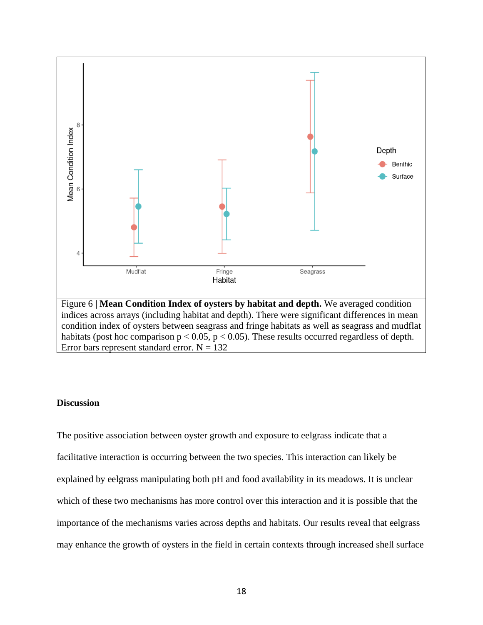

habitats (post hoc comparison  $p < 0.05$ ,  $p < 0.05$ ). These results occurred regardless of depth. Error bars represent standard error.  $N = 132$ 

#### **Discussion**

The positive association between oyster growth and exposure to eelgrass indicate that a facilitative interaction is occurring between the two species. This interaction can likely be explained by eelgrass manipulating both pH and food availability in its meadows. It is unclear which of these two mechanisms has more control over this interaction and it is possible that the importance of the mechanisms varies across depths and habitats. Our results reveal that eelgrass may enhance the growth of oysters in the field in certain contexts through increased shell surface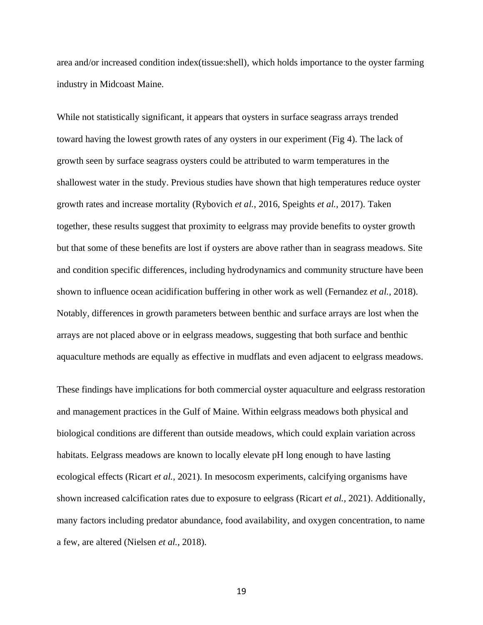area and/or increased condition index(tissue:shell), which holds importance to the oyster farming industry in Midcoast Maine.

While not statistically significant, it appears that oysters in surface seagrass arrays trended toward having the lowest growth rates of any oysters in our experiment (Fig 4). The lack of growth seen by surface seagrass oysters could be attributed to warm temperatures in the shallowest water in the study. Previous studies have shown that high temperatures reduce oyster growth rates and increase mortality (Rybovich *et al.,* 2016, Speights *et al.,* 2017). Taken together, these results suggest that proximity to eelgrass may provide benefits to oyster growth but that some of these benefits are lost if oysters are above rather than in seagrass meadows. Site and condition specific differences, including hydrodynamics and community structure have been shown to influence ocean acidification buffering in other work as well (Fernandez *et al.,* 2018). Notably, differences in growth parameters between benthic and surface arrays are lost when the arrays are not placed above or in eelgrass meadows, suggesting that both surface and benthic aquaculture methods are equally as effective in mudflats and even adjacent to eelgrass meadows.

These findings have implications for both commercial oyster aquaculture and eelgrass restoration and management practices in the Gulf of Maine. Within eelgrass meadows both physical and biological conditions are different than outside meadows, which could explain variation across habitats. Eelgrass meadows are known to locally elevate pH long enough to have lasting ecological effects (Ricart *et al.,* 2021). In mesocosm experiments, calcifying organisms have shown increased calcification rates due to exposure to eelgrass (Ricart *et al.,* 2021). Additionally, many factors including predator abundance, food availability, and oxygen concentration, to name a few, are altered (Nielsen *et al.,* 2018).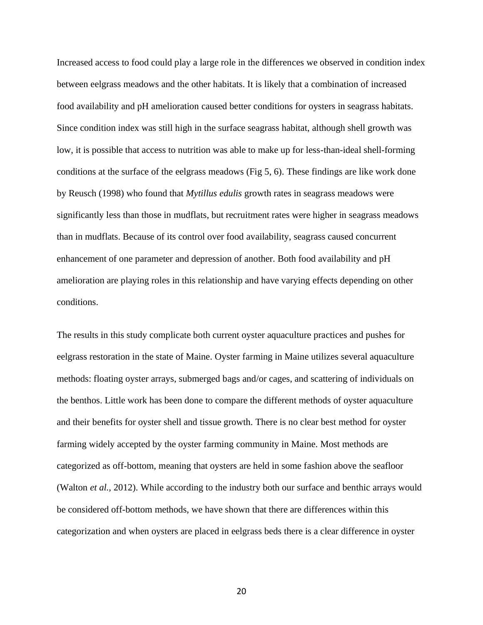Increased access to food could play a large role in the differences we observed in condition index between eelgrass meadows and the other habitats. It is likely that a combination of increased food availability and pH amelioration caused better conditions for oysters in seagrass habitats. Since condition index was still high in the surface seagrass habitat, although shell growth was low, it is possible that access to nutrition was able to make up for less-than-ideal shell-forming conditions at the surface of the eelgrass meadows (Fig 5, 6). These findings are like work done by Reusch (1998) who found that *Mytillus edulis* growth rates in seagrass meadows were significantly less than those in mudflats, but recruitment rates were higher in seagrass meadows than in mudflats. Because of its control over food availability, seagrass caused concurrent enhancement of one parameter and depression of another. Both food availability and pH amelioration are playing roles in this relationship and have varying effects depending on other conditions.

The results in this study complicate both current oyster aquaculture practices and pushes for eelgrass restoration in the state of Maine. Oyster farming in Maine utilizes several aquaculture methods: floating oyster arrays, submerged bags and/or cages, and scattering of individuals on the benthos. Little work has been done to compare the different methods of oyster aquaculture and their benefits for oyster shell and tissue growth. There is no clear best method for oyster farming widely accepted by the oyster farming community in Maine. Most methods are categorized as off-bottom, meaning that oysters are held in some fashion above the seafloor (Walton *et al.,* 2012). While according to the industry both our surface and benthic arrays would be considered off-bottom methods, we have shown that there are differences within this categorization and when oysters are placed in eelgrass beds there is a clear difference in oyster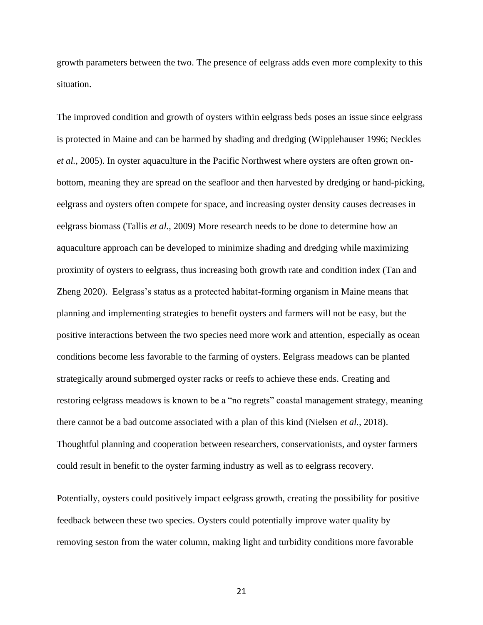growth parameters between the two. The presence of eelgrass adds even more complexity to this situation.

The improved condition and growth of oysters within eelgrass beds poses an issue since eelgrass is protected in Maine and can be harmed by shading and dredging (Wipplehauser 1996; Neckles *et al.,* 2005). In oyster aquaculture in the Pacific Northwest where oysters are often grown onbottom, meaning they are spread on the seafloor and then harvested by dredging or hand-picking, eelgrass and oysters often compete for space, and increasing oyster density causes decreases in eelgrass biomass (Tallis *et al.,* 2009) More research needs to be done to determine how an aquaculture approach can be developed to minimize shading and dredging while maximizing proximity of oysters to eelgrass, thus increasing both growth rate and condition index (Tan and Zheng 2020). Eelgrass's status as a protected habitat-forming organism in Maine means that planning and implementing strategies to benefit oysters and farmers will not be easy, but the positive interactions between the two species need more work and attention, especially as ocean conditions become less favorable to the farming of oysters. Eelgrass meadows can be planted strategically around submerged oyster racks or reefs to achieve these ends. Creating and restoring eelgrass meadows is known to be a "no regrets" coastal management strategy, meaning there cannot be a bad outcome associated with a plan of this kind (Nielsen *et al.,* 2018). Thoughtful planning and cooperation between researchers, conservationists, and oyster farmers could result in benefit to the oyster farming industry as well as to eelgrass recovery.

Potentially, oysters could positively impact eelgrass growth, creating the possibility for positive feedback between these two species. Oysters could potentially improve water quality by removing seston from the water column, making light and turbidity conditions more favorable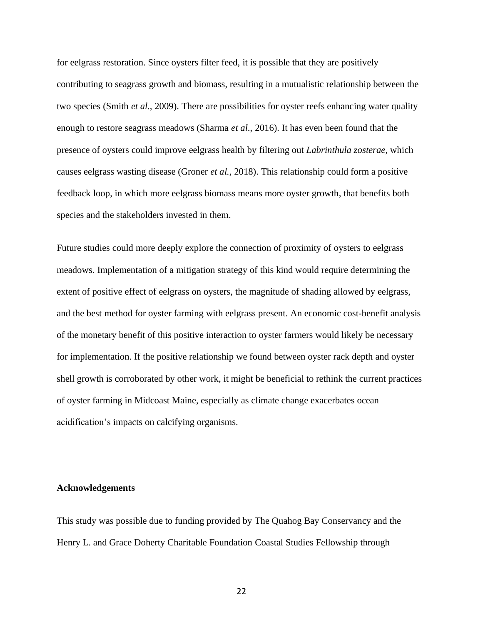for eelgrass restoration. Since oysters filter feed, it is possible that they are positively contributing to seagrass growth and biomass, resulting in a mutualistic relationship between the two species (Smith *et al.,* 2009). There are possibilities for oyster reefs enhancing water quality enough to restore seagrass meadows (Sharma *et al*., 2016). It has even been found that the presence of oysters could improve eelgrass health by filtering out *Labrinthula zosterae*, which causes eelgrass wasting disease (Groner *et al.,* 2018). This relationship could form a positive feedback loop, in which more eelgrass biomass means more oyster growth, that benefits both species and the stakeholders invested in them.

Future studies could more deeply explore the connection of proximity of oysters to eelgrass meadows. Implementation of a mitigation strategy of this kind would require determining the extent of positive effect of eelgrass on oysters, the magnitude of shading allowed by eelgrass, and the best method for oyster farming with eelgrass present. An economic cost-benefit analysis of the monetary benefit of this positive interaction to oyster farmers would likely be necessary for implementation. If the positive relationship we found between oyster rack depth and oyster shell growth is corroborated by other work, it might be beneficial to rethink the current practices of oyster farming in Midcoast Maine, especially as climate change exacerbates ocean acidification's impacts on calcifying organisms.

#### **Acknowledgements**

This study was possible due to funding provided by The Quahog Bay Conservancy and the Henry L. and Grace Doherty Charitable Foundation Coastal Studies Fellowship through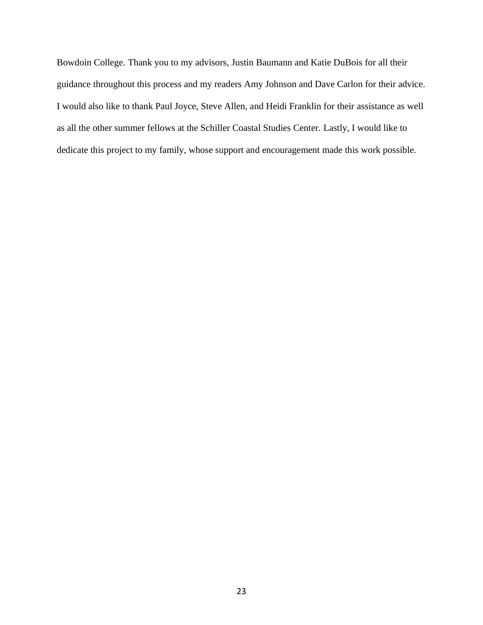Bowdoin College. Thank you to my advisors, Justin Baumann and Katie DuBois for all their guidance throughout this process and my readers Amy Johnson and Dave Carlon for their advice. I would also like to thank Paul Joyce, Steve Allen, and Heidi Franklin for their assistance as well as all the other summer fellows at the Schiller Coastal Studies Center. Lastly, I would like to dedicate this project to my family, whose support and encouragement made this work possible.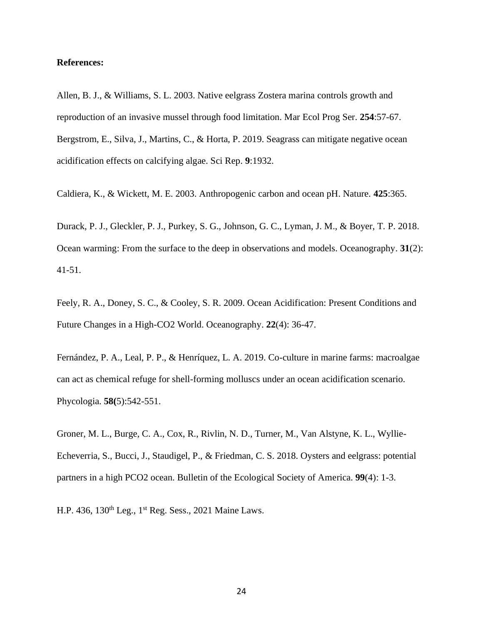#### **References:**

Allen, B. J., & Williams, S. L. 2003. Native eelgrass Zostera marina controls growth and reproduction of an invasive mussel through food limitation. Mar Ecol Prog Ser. **254**:57-67. Bergstrom, E., Silva, J., Martins, C., & Horta, P. 2019. Seagrass can mitigate negative ocean acidification effects on calcifying algae. Sci Rep. **9**:1932.

Caldiera, K., & Wickett, M. E. 2003. Anthropogenic carbon and ocean pH. Nature. **425**:365.

Durack, P. J., Gleckler, P. J., Purkey, S. G., Johnson, G. C., Lyman, J. M., & Boyer, T. P. 2018. Ocean warming: From the surface to the deep in observations and models. Oceanography. **31**(2): 41-51.

Feely, R. A., Doney, S. C., & Cooley, S. R. 2009. Ocean Acidification: Present Conditions and Future Changes in a High-CO2 World. Oceanography. **22**(4): 36-47.

Fernández, P. A., Leal, P. P., & Henríquez, L. A. 2019. Co-culture in marine farms: macroalgae can act as chemical refuge for shell-forming molluscs under an ocean acidification scenario. Phycologia. **58(**5):542-551.

Groner, M. L., Burge, C. A., Cox, R., Rivlin, N. D., Turner, M., Van Alstyne, K. L., Wyllie-Echeverria, S., Bucci, J., Staudigel, P., & Friedman, C. S. 2018. Oysters and eelgrass: potential partners in a high PCO2 ocean. Bulletin of the Ecological Society of America. **99**(4): 1-3.

H.P. 436, 130th Leg., 1st Reg. Sess., 2021 Maine Laws.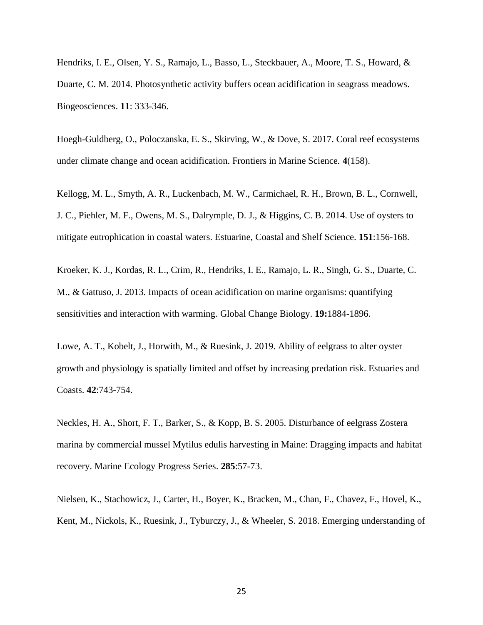Hendriks, I. E., Olsen, Y. S., Ramajo, L., Basso, L., Steckbauer, A., Moore, T. S., Howard, & Duarte, C. M. 2014. Photosynthetic activity buffers ocean acidification in seagrass meadows. Biogeosciences. **11**: 333-346.

Hoegh-Guldberg, O., Poloczanska, E. S., Skirving, W., & Dove, S. 2017. Coral reef ecosystems under climate change and ocean acidification. Frontiers in Marine Science. **4**(158).

Kellogg, M. L., Smyth, A. R., Luckenbach, M. W., Carmichael, R. H., Brown, B. L., Cornwell, J. C., Piehler, M. F., Owens, M. S., Dalrymple, D. J., & Higgins, C. B. 2014. Use of oysters to mitigate eutrophication in coastal waters. Estuarine, Coastal and Shelf Science. **151**:156-168.

Kroeker, K. J., Kordas, R. L., Crim, R., Hendriks, I. E., Ramajo, L. R., Singh, G. S., Duarte, C. M., & Gattuso, J. 2013. Impacts of ocean acidification on marine organisms: quantifying sensitivities and interaction with warming. Global Change Biology. **19:**1884-1896.

Lowe, A. T., Kobelt, J., Horwith, M., & Ruesink, J. 2019. Ability of eelgrass to alter oyster growth and physiology is spatially limited and offset by increasing predation risk. Estuaries and Coasts. **42**:743-754.

Neckles, H. A., Short, F. T., Barker, S., & Kopp, B. S. 2005. Disturbance of eelgrass Zostera marina by commercial mussel Mytilus edulis harvesting in Maine: Dragging impacts and habitat recovery. Marine Ecology Progress Series. **285**:57-73.

Nielsen, K., Stachowicz, J., Carter, H., Boyer, K., Bracken, M., Chan, F., Chavez, F., Hovel, K., Kent, M., Nickols, K., Ruesink, J., Tyburczy, J., & Wheeler, S. 2018. Emerging understanding of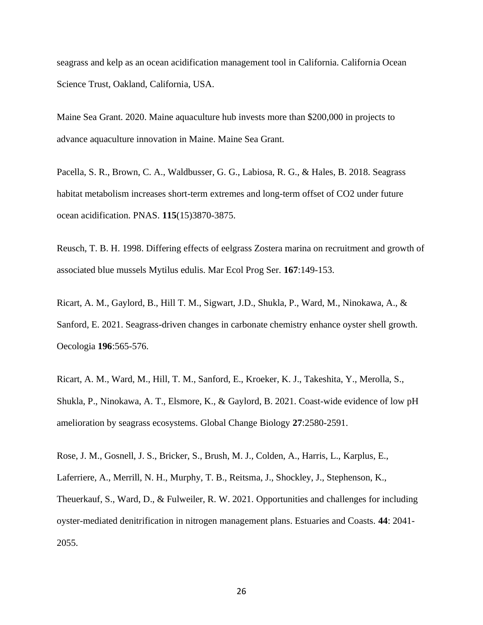seagrass and kelp as an ocean acidification management tool in California. California Ocean Science Trust, Oakland, California, USA.

Maine Sea Grant. 2020. Maine aquaculture hub invests more than \$200,000 in projects to advance aquaculture innovation in Maine. Maine Sea Grant.

Pacella, S. R., Brown, C. A., Waldbusser, G. G., Labiosa, R. G., & Hales, B. 2018. Seagrass habitat metabolism increases short-term extremes and long-term offset of CO2 under future ocean acidification. PNAS. **115**(15)3870-3875.

Reusch, T. B. H. 1998. Differing effects of eelgrass Zostera marina on recruitment and growth of associated blue mussels Mytilus edulis. Mar Ecol Prog Ser. **167**:149-153.

Ricart, A. M., Gaylord, B., Hill T. M., Sigwart, J.D., Shukla, P., Ward, M., Ninokawa, A., & Sanford, E. 2021. Seagrass-driven changes in carbonate chemistry enhance oyster shell growth. Oecologia **196**:565-576.

Ricart, A. M., Ward, M., Hill, T. M., Sanford, E., Kroeker, K. J., Takeshita, Y., Merolla, S., Shukla, P., Ninokawa, A. T., Elsmore, K., & Gaylord, B. 2021. Coast-wide evidence of low pH amelioration by seagrass ecosystems. Global Change Biology **27**:2580-2591.

Rose, J. M., Gosnell, J. S., Bricker, S., Brush, M. J., Colden, A., Harris, L., Karplus, E., Laferriere, A., Merrill, N. H., Murphy, T. B., Reitsma, J., Shockley, J., Stephenson, K., Theuerkauf, S., Ward, D., & Fulweiler, R. W. 2021. Opportunities and challenges for including oyster-mediated denitrification in nitrogen management plans. Estuaries and Coasts. **44**: 2041- 2055.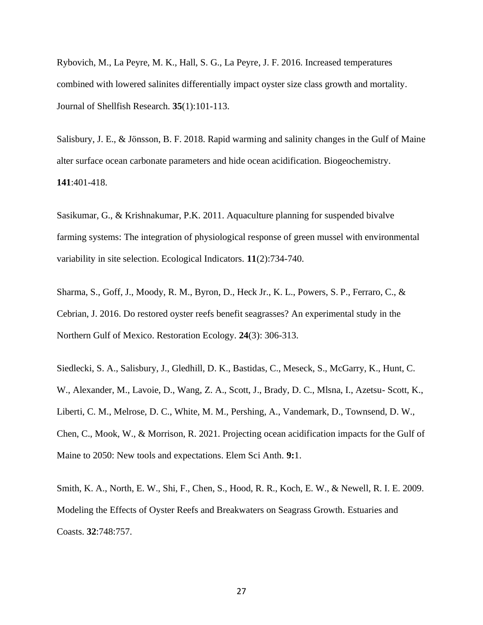Rybovich, M., La Peyre, M. K., Hall, S. G., La Peyre, J. F. 2016. Increased temperatures combined with lowered salinites differentially impact oyster size class growth and mortality. Journal of Shellfish Research. **35**(1):101-113.

Salisbury, J. E., & Jönsson, B. F. 2018. Rapid warming and salinity changes in the Gulf of Maine alter surface ocean carbonate parameters and hide ocean acidification. Biogeochemistry. **141**:401-418.

Sasikumar, G., & Krishnakumar, P.K. 2011. Aquaculture planning for suspended bivalve farming systems: The integration of physiological response of green mussel with environmental variability in site selection. Ecological Indicators. **11**(2):734-740.

Sharma, S., Goff, J., Moody, R. M., Byron, D., Heck Jr., K. L., Powers, S. P., Ferraro, C., & Cebrian, J. 2016. Do restored oyster reefs benefit seagrasses? An experimental study in the Northern Gulf of Mexico. Restoration Ecology. **24**(3): 306-313.

Siedlecki, S. A., Salisbury, J., Gledhill, D. K., Bastidas, C., Meseck, S., McGarry, K., Hunt, C. W., Alexander, M., Lavoie, D., Wang, Z. A., Scott, J., Brady, D. C., Mlsna, I., Azetsu- Scott, K., Liberti, C. M., Melrose, D. C., White, M. M., Pershing, A., Vandemark, D., Townsend, D. W., Chen, C., Mook, W., & Morrison, R. 2021. Projecting ocean acidification impacts for the Gulf of Maine to 2050: New tools and expectations. Elem Sci Anth. **9:**1.

Smith, K. A., North, E. W., Shi, F., Chen, S., Hood, R. R., Koch, E. W., & Newell, R. I. E. 2009. Modeling the Effects of Oyster Reefs and Breakwaters on Seagrass Growth. Estuaries and Coasts. **32**:748:757.